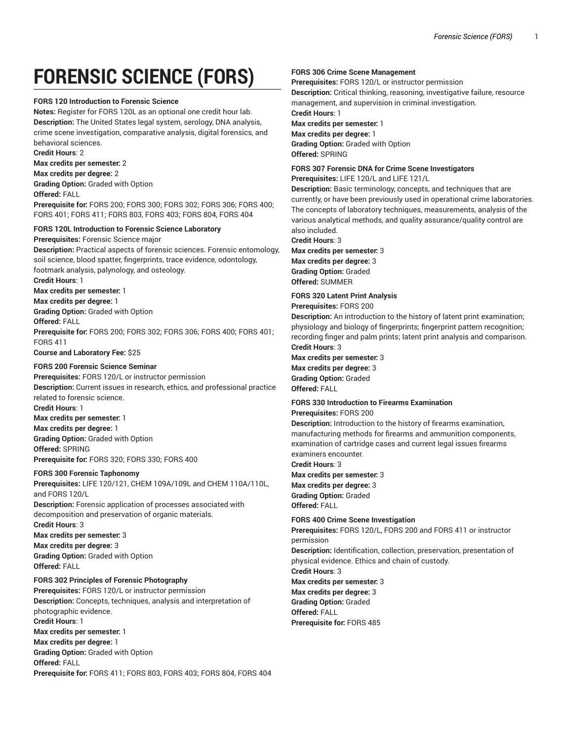# **FORENSIC SCIENCE (FORS)**

#### **FORS 120 Introduction to Forensic Science**

**Notes:** Register for FORS 120L as an optional one credit hour lab. **Description:** The United States legal system, serology, DNA analysis, crime scene investigation, comparative analysis, digital forensics, and behavioral sciences.

**Credit Hours**: 2

**Max credits per semester:** 2

**Max credits per degree:** 2 **Grading Option:** Graded with Option

**Offered:** FALL

**Prerequisite for:** FORS 200; FORS 300; FORS 302; FORS 306; FORS 400; FORS 401; FORS 411; FORS 803, FORS 403; FORS 804, FORS 404

## **FORS 120L Introduction to Forensic Science Laboratory**

**Prerequisites:** Forensic Science major

**Description:** Practical aspects of forensic sciences. Forensic entomology, soil science, blood spatter, fingerprints, trace evidence, odontology, footmark analysis, palynology, and osteology. **Credit Hours**: 1

**Max credits per semester:** 1

**Max credits per degree:** 1

**Grading Option:** Graded with Option

**Offered:** FALL

**Prerequisite for:** FORS 200; FORS 302; FORS 306; FORS 400; FORS 401; FORS 411

**Course and Laboratory Fee:** \$25

### **FORS 200 Forensic Science Seminar**

**Prerequisites:** FORS 120/L or instructor permission **Description:** Current issues in research, ethics, and professional practice related to forensic science. **Credit Hours**: 1 **Max credits per semester:** 1 **Max credits per degree:** 1 **Grading Option:** Graded with Option **Offered:** SPRING **Prerequisite for:** FORS 320; FORS 330; FORS 400

**FORS 300 Forensic Taphonomy Prerequisites:** LIFE 120/121, CHEM 109A/109L and CHEM 110A/110L, and FORS 120/L **Description:** Forensic application of processes associated with decomposition and preservation of organic materials. **Credit Hours**: 3

**Max credits per semester:** 3 **Max credits per degree:** 3 **Grading Option:** Graded with Option **Offered:** FALL

#### **FORS 302 Principles of Forensic Photography**

**Prerequisites:** FORS 120/L or instructor permission **Description:** Concepts, techniques, analysis and interpretation of photographic evidence. **Credit Hours**: 1 **Max credits per semester:** 1 **Max credits per degree:** 1 **Grading Option:** Graded with Option **Offered:** FALL **Prerequisite for:** FORS 411; FORS 803, FORS 403; FORS 804, FORS 404

#### **FORS 306 Crime Scene Management**

**Prerequisites:** FORS 120/L or instructor permission **Description:** Critical thinking, reasoning, investigative failure, resource

management, and supervision in criminal investigation. **Credit Hours**: 1

**Max credits per semester:** 1 **Max credits per degree:** 1 **Grading Option:** Graded with Option

**Offered:** SPRING

## **FORS 307 Forensic DNA for Crime Scene Investigators**

**Prerequisites:** LIFE 120/L and LIFE 121/L

**Description:** Basic terminology, concepts, and techniques that are currently, or have been previously used in operational crime laboratories. The concepts of laboratory techniques, measurements, analysis of the various analytical methods, and quality assurance/quality control are also included.

**Credit Hours**: 3

**Max credits per semester:** 3 **Max credits per degree:** 3 **Grading Option:** Graded **Offered:** SUMMER

**FORS 320 Latent Print Analysis**

**Prerequisites:** FORS 200

**Description:** An introduction to the history of latent print examination; physiology and biology of fingerprints; fingerprint pattern recognition; recording finger and palm prints; latent print analysis and comparison. **Credit Hours**: 3

**Max credits per semester:** 3 **Max credits per degree:** 3 **Grading Option:** Graded **Offered:** FALL

# **FORS 330 Introduction to Firearms Examination**

**Prerequisites:** FORS 200

**Description:** Introduction to the history of firearms examination, manufacturing methods for firearms and ammunition components, examination of cartridge cases and current legal issues firearms examiners encounter.

**Credit Hours**: 3

**Max credits per semester:** 3 **Max credits per degree:** 3 **Grading Option:** Graded **Offered:** FALL

#### **FORS 400 Crime Scene Investigation**

**Prerequisites:** FORS 120/L, FORS 200 and FORS 411 or instructor permission

**Description:** Identification, collection, preservation, presentation of physical evidence. Ethics and chain of custody.

**Credit Hours**: 3 **Max credits per semester:** 3 **Max credits per degree:** 3 **Grading Option:** Graded **Offered:** FALL **Prerequisite for:** FORS 485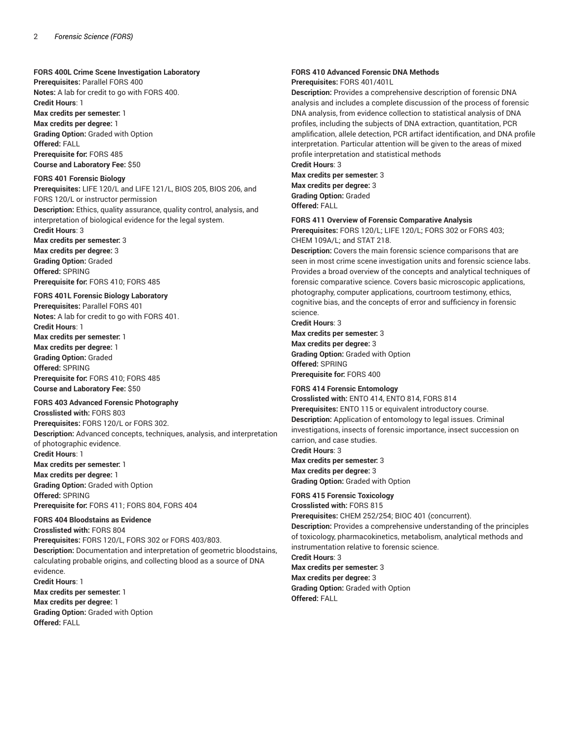#### **FORS 400L Crime Scene Investigation Laboratory**

**Prerequisites:** Parallel FORS 400 **Notes:** A lab for credit to go with FORS 400. **Credit Hours**: 1 **Max credits per semester:** 1

**Max credits per degree:** 1 **Grading Option:** Graded with Option **Offered:** FALL **Prerequisite for:** FORS 485 **Course and Laboratory Fee:** \$50

#### **FORS 401 Forensic Biology**

**Prerequisites:** LIFE 120/L and LIFE 121/L, BIOS 205, BIOS 206, and FORS 120/L or instructor permission **Description:** Ethics, quality assurance, quality control, analysis, and interpretation of biological evidence for the legal system.

**Credit Hours**: 3 **Max credits per semester:** 3 **Max credits per degree:** 3 **Grading Option:** Graded **Offered:** SPRING

**Prerequisite for:** FORS 410; FORS 485

#### **FORS 401L Forensic Biology Laboratory**

**Prerequisites:** Parallel FORS 401 **Notes:** A lab for credit to go with FORS 401. **Credit Hours**: 1 **Max credits per semester:** 1 **Max credits per degree:** 1 **Grading Option:** Graded **Offered:** SPRING **Prerequisite for:** FORS 410; FORS 485 **Course and Laboratory Fee:** \$50

#### **FORS 403 Advanced Forensic Photography**

**Crosslisted with:** FORS 803 **Prerequisites:** FORS 120/L or FORS 302. **Description:** Advanced concepts, techniques, analysis, and interpretation of photographic evidence. **Credit Hours**: 1 **Max credits per semester:** 1 **Max credits per degree:** 1 **Grading Option:** Graded with Option **Offered:** SPRING **Prerequisite for:** FORS 411; FORS 804, FORS 404 **FORS 404 Bloodstains as Evidence**

**Crosslisted with:** FORS 804 **Prerequisites:** FORS 120/L, FORS 302 or FORS 403/803. **Description:** Documentation and interpretation of geometric bloodstains, calculating probable origins, and collecting blood as a source of DNA evidence. **Credit Hours**: 1 **Max credits per semester:** 1

**Max credits per degree:** 1 **Grading Option:** Graded with Option **Offered:** FALL

# **FORS 410 Advanced Forensic DNA Methods**

**Prerequisites:** FORS 401/401L

**Description:** Provides a comprehensive description of forensic DNA analysis and includes a complete discussion of the process of forensic DNA analysis, from evidence collection to statistical analysis of DNA profiles, including the subjects of DNA extraction, quantitation, PCR amplification, allele detection, PCR artifact identification, and DNA profile interpretation. Particular attention will be given to the areas of mixed profile interpretation and statistical methods

**Credit Hours**: 3

**Max credits per semester:** 3 **Max credits per degree:** 3 **Grading Option:** Graded **Offered:** FALL

#### **FORS 411 Overview of Forensic Comparative Analysis**

**Prerequisites:** FORS 120/L; LIFE 120/L; FORS 302 or FORS 403; CHEM 109A/L; and STAT 218.

**Description:** Covers the main forensic science comparisons that are seen in most crime scene investigation units and forensic science labs. Provides a broad overview of the concepts and analytical techniques of forensic comparative science. Covers basic microscopic applications, photography, computer applications, courtroom testimony, ethics, cognitive bias, and the concepts of error and sufficiency in forensic science.

**Credit Hours**: 3

**Max credits per semester:** 3 **Max credits per degree:** 3 **Grading Option:** Graded with Option **Offered:** SPRING **Prerequisite for:** FORS 400

**FORS 414 Forensic Entomology Crosslisted with:** ENTO 414, ENTO 814, FORS 814 **Prerequisites:** ENTO 115 or equivalent introductory course. **Description:** Application of entomology to legal issues. Criminal investigations, insects of forensic importance, insect succession on carrion, and case studies.

**Credit Hours**: 3 **Max credits per semester:** 3 **Max credits per degree:** 3 **Grading Option:** Graded with Option

**FORS 415 Forensic Toxicology Crosslisted with:** FORS 815 **Prerequisites:** CHEM 252/254; BIOC 401 (concurrent). **Description:** Provides a comprehensive understanding of the principles of toxicology, pharmacokinetics, metabolism, analytical methods and instrumentation relative to forensic science. **Credit Hours**: 3

**Max credits per semester:** 3 **Max credits per degree:** 3 **Grading Option:** Graded with Option **Offered:** FALL